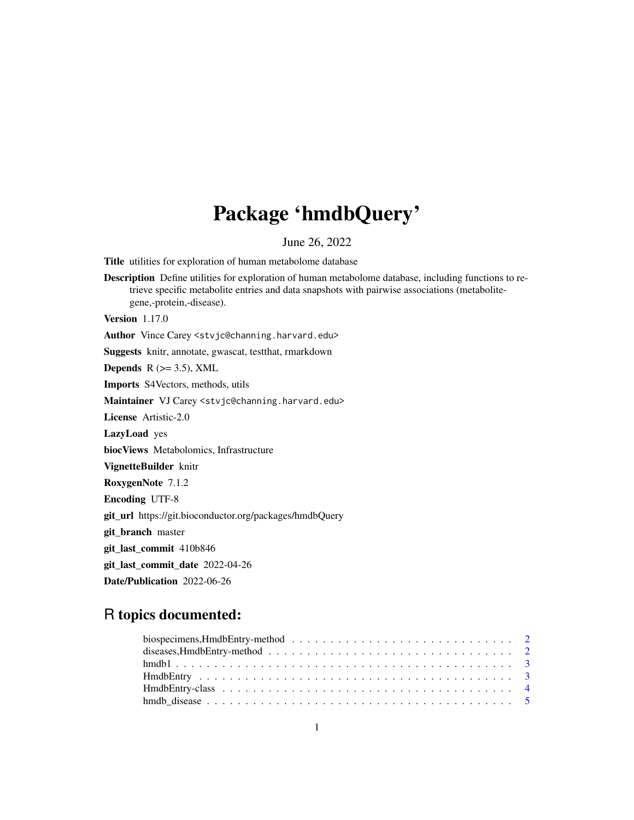# Package 'hmdbQuery'

June 26, 2022

Title utilities for exploration of human metabolome database

Description Define utilities for exploration of human metabolome database, including functions to retrieve specific metabolite entries and data snapshots with pairwise associations (metabolitegene,-protein,-disease).

Version 1.17.0

Author Vince Carey <stvjc@channing.harvard.edu>

Suggests knitr, annotate, gwascat, testthat, rmarkdown

Depends  $R$  ( $> = 3.5$ ), XML

Imports S4Vectors, methods, utils

Maintainer VJ Carey <stvjc@channing.harvard.edu>

License Artistic-2.0

LazyLoad yes

biocViews Metabolomics, Infrastructure

VignetteBuilder knitr

RoxygenNote 7.1.2

Encoding UTF-8

git\_url https://git.bioconductor.org/packages/hmdbQuery

git\_branch master

git\_last\_commit 410b846

git\_last\_commit\_date 2022-04-26

Date/Publication 2022-06-26

# R topics documented:

| biospecimens, HmdbEntry-method $\ldots \ldots \ldots \ldots \ldots \ldots \ldots \ldots \ldots \ldots 2$ |  |
|----------------------------------------------------------------------------------------------------------|--|
|                                                                                                          |  |
|                                                                                                          |  |
|                                                                                                          |  |
|                                                                                                          |  |
|                                                                                                          |  |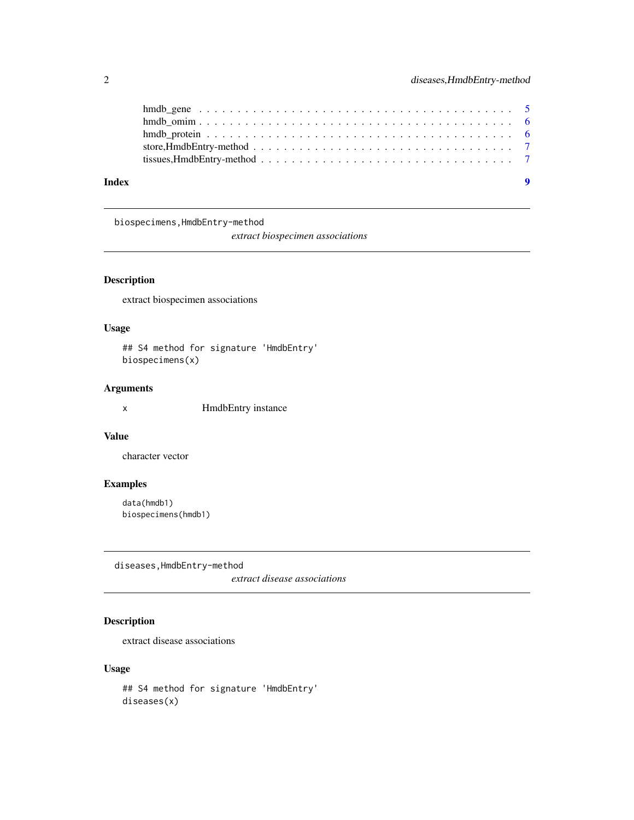<span id="page-1-0"></span>

| tissues, HmdbEntry-method $\ldots \ldots \ldots \ldots \ldots \ldots \ldots \ldots \ldots \ldots \ldots \ldots \ldots$ |
|------------------------------------------------------------------------------------------------------------------------|
|                                                                                                                        |

biospecimens,HmdbEntry-method

*extract biospecimen associations*

# Description

extract biospecimen associations

#### Usage

## S4 method for signature 'HmdbEntry' biospecimens(x)

#### Arguments

x HmdbEntry instance

# Value

character vector

#### Examples

data(hmdb1) biospecimens(hmdb1)

diseases,HmdbEntry-method

*extract disease associations*

# Description

extract disease associations

#### Usage

```
## S4 method for signature 'HmdbEntry'
diseases(x)
```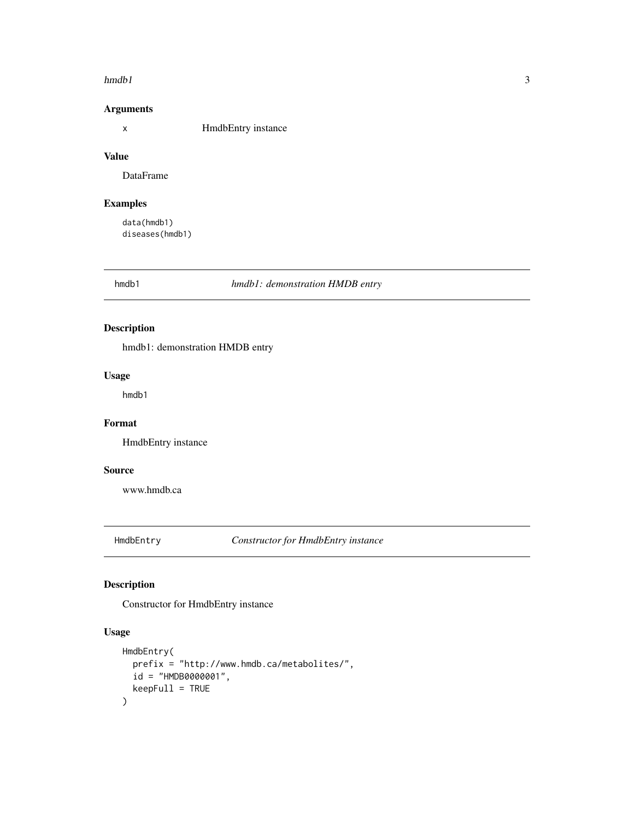#### <span id="page-2-0"></span> $h$ mdb1 3

#### Arguments

x HmdbEntry instance

# Value

DataFrame

# Examples

data(hmdb1) diseases(hmdb1)

hmdb1 *hmdb1: demonstration HMDB entry*

### Description

hmdb1: demonstration HMDB entry

# Usage

hmdb1

# Format

HmdbEntry instance

#### Source

www.hmdb.ca

HmdbEntry *Constructor for HmdbEntry instance*

# Description

Constructor for HmdbEntry instance

### Usage

```
HmdbEntry(
 prefix = "http://www.hmdb.ca/metabolites/",
 id = "HMDB0000001",
 keepFull = TRUE
)
```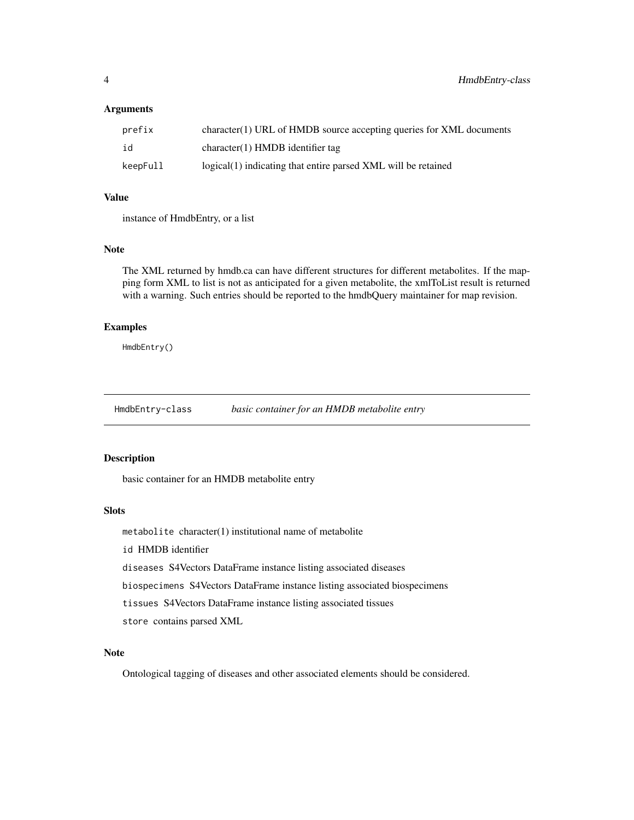#### <span id="page-3-0"></span>**Arguments**

| prefix   | $character(1) \text{ URL of HMDB source accepting queries for XML documents}$ |
|----------|-------------------------------------------------------------------------------|
| id       | $character(1)$ HMDB identifier tag                                            |
| keepFull | logical(1) indicating that entire parsed XML will be retained                 |

#### Value

instance of HmdbEntry, or a list

#### Note

The XML returned by hmdb.ca can have different structures for different metabolites. If the mapping form XML to list is not as anticipated for a given metabolite, the xmlToList result is returned with a warning. Such entries should be reported to the hmdbQuery maintainer for map revision.

#### Examples

HmdbEntry()

HmdbEntry-class *basic container for an HMDB metabolite entry*

#### Description

basic container for an HMDB metabolite entry

#### Slots

metabolite character(1) institutional name of metabolite

id HMDB identifier

diseases S4Vectors DataFrame instance listing associated diseases

biospecimens S4Vectors DataFrame instance listing associated biospecimens

tissues S4Vectors DataFrame instance listing associated tissues

store contains parsed XML

#### Note

Ontological tagging of diseases and other associated elements should be considered.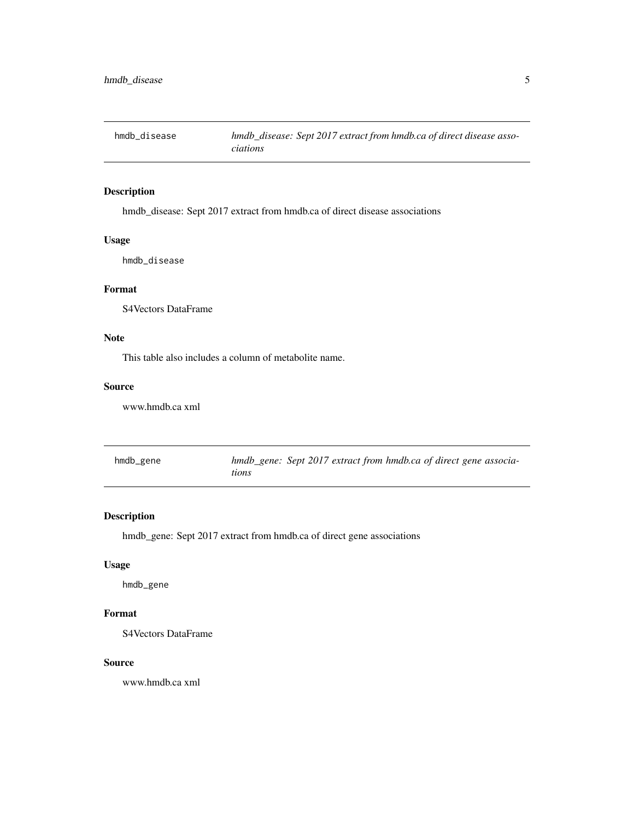<span id="page-4-0"></span>

### Description

hmdb\_disease: Sept 2017 extract from hmdb.ca of direct disease associations

### Usage

hmdb\_disease

#### Format

S4Vectors DataFrame

# Note

This table also includes a column of metabolite name.

#### Source

www.hmdb.ca xml

| hmdb_gene | hmdb_gene: Sept 2017 extract from hmdb.ca of direct gene associa- |  |  |  |
|-----------|-------------------------------------------------------------------|--|--|--|
|           | tions                                                             |  |  |  |

### Description

hmdb\_gene: Sept 2017 extract from hmdb.ca of direct gene associations

#### Usage

hmdb\_gene

# Format

S4Vectors DataFrame

#### Source

www.hmdb.ca xml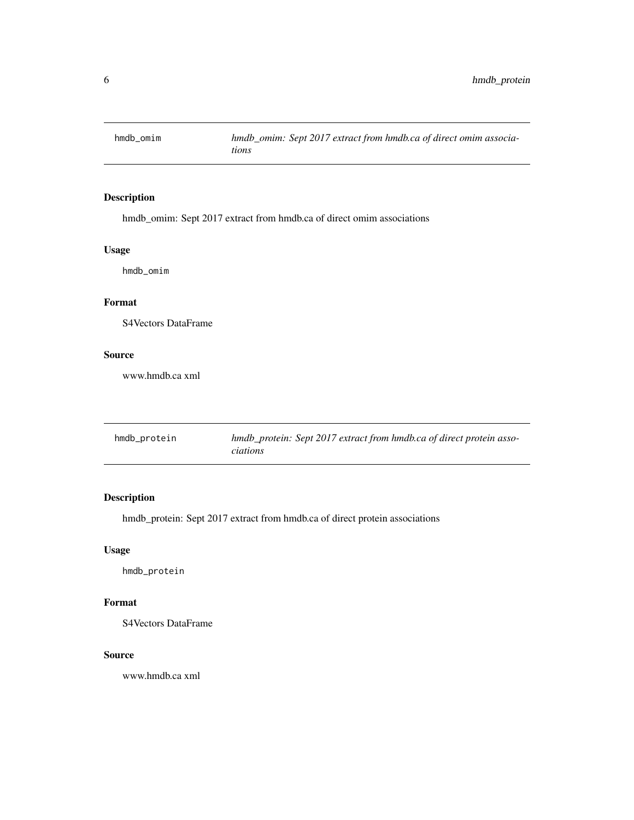<span id="page-5-0"></span>

### Description

hmdb\_omim: Sept 2017 extract from hmdb.ca of direct omim associations

### Usage

hmdb\_omim

# Format

S4Vectors DataFrame

#### Source

www.hmdb.ca xml

| hmdb_protein | hmdb_protein: Sept 2017 extract from hmdb.ca of direct protein asso- |
|--------------|----------------------------------------------------------------------|
|              | <i>ciations</i>                                                      |

### Description

hmdb\_protein: Sept 2017 extract from hmdb.ca of direct protein associations

### Usage

hmdb\_protein

#### Format

S4Vectors DataFrame

#### Source

www.hmdb.ca xml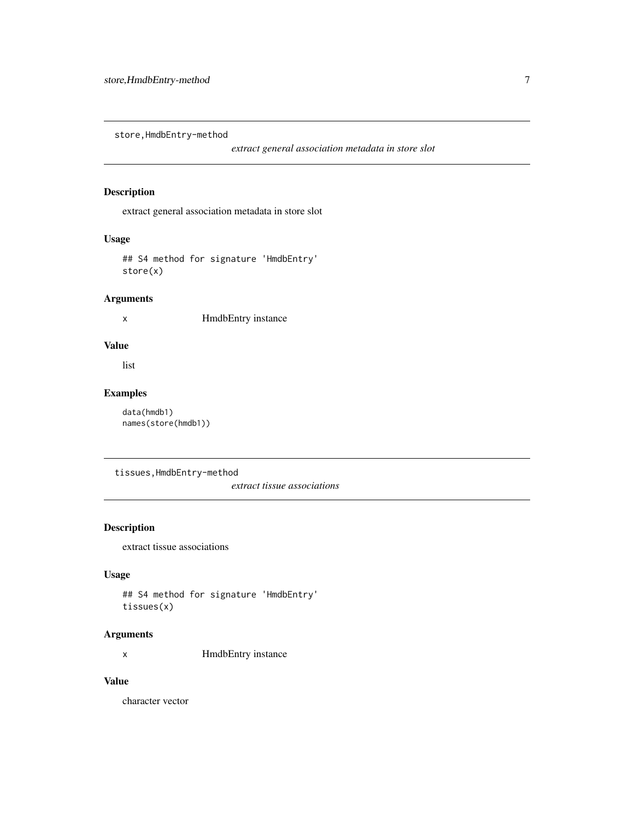<span id="page-6-0"></span>store,HmdbEntry-method

*extract general association metadata in store slot*

### Description

extract general association metadata in store slot

# Usage

## S4 method for signature 'HmdbEntry' store(x)

## Arguments

x HmdbEntry instance

#### Value

list

### Examples

```
data(hmdb1)
names(store(hmdb1))
```
tissues,HmdbEntry-method

*extract tissue associations*

# Description

extract tissue associations

### Usage

## S4 method for signature 'HmdbEntry' tissues(x)

### Arguments

x HmdbEntry instance

# Value

character vector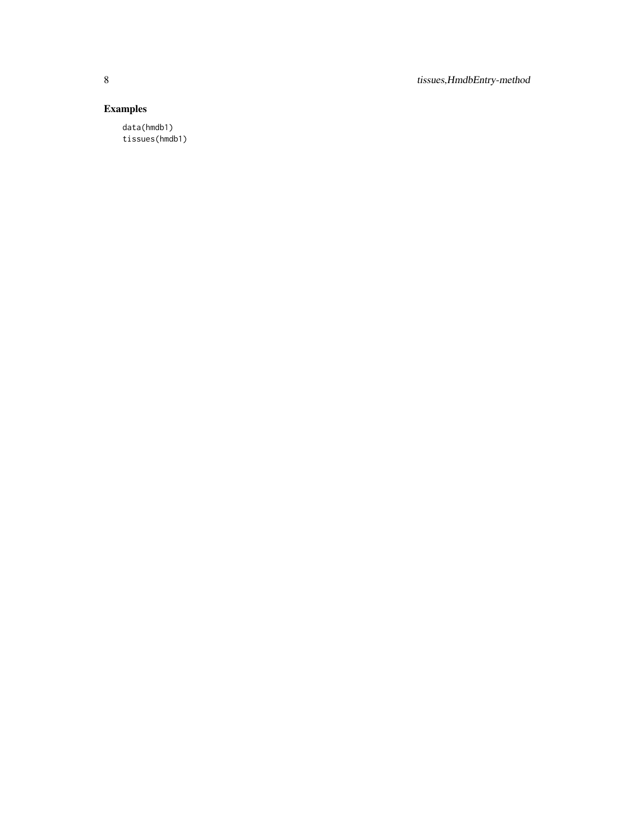8 tissues,HmdbEntry-method

# Examples

data(hmdb1) tissues(hmdb1)